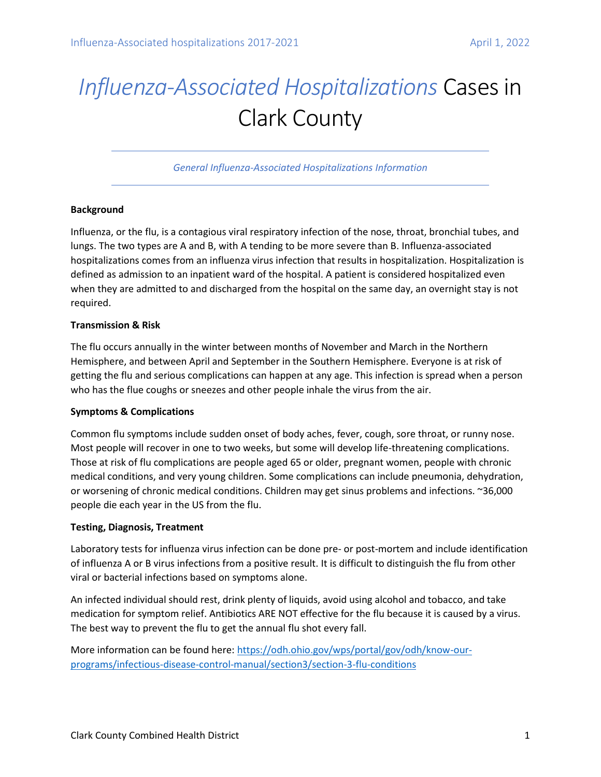# *Influenza-Associated Hospitalizations* Cases in Clark County

*General Influenza-Associated Hospitalizations Information*

### **Background**

Influenza, or the flu, is a contagious viral respiratory infection of the nose, throat, bronchial tubes, and lungs. The two types are A and B, with A tending to be more severe than B. Influenza-associated hospitalizations comes from an influenza virus infection that results in hospitalization. Hospitalization is defined as admission to an inpatient ward of the hospital. A patient is considered hospitalized even when they are admitted to and discharged from the hospital on the same day, an overnight stay is not required.

### **Transmission & Risk**

The flu occurs annually in the winter between months of November and March in the Northern Hemisphere, and between April and September in the Southern Hemisphere. Everyone is at risk of getting the flu and serious complications can happen at any age. This infection is spread when a person who has the flue coughs or sneezes and other people inhale the virus from the air.

# **Symptoms & Complications**

Common flu symptoms include sudden onset of body aches, fever, cough, sore throat, or runny nose. Most people will recover in one to two weeks, but some will develop life-threatening complications. Those at risk of flu complications are people aged 65 or older, pregnant women, people with chronic medical conditions, and very young children. Some complications can include pneumonia, dehydration, or worsening of chronic medical conditions. Children may get sinus problems and infections. ~36,000 people die each year in the US from the flu.

# **Testing, Diagnosis, Treatment**

Laboratory tests for influenza virus infection can be done pre- or post-mortem and include identification of influenza A or B virus infections from a positive result. It is difficult to distinguish the flu from other viral or bacterial infections based on symptoms alone.

An infected individual should rest, drink plenty of liquids, avoid using alcohol and tobacco, and take medication for symptom relief. Antibiotics ARE NOT effective for the flu because it is caused by a virus. The best way to prevent the flu to get the annual flu shot every fall.

More information can be found here[: https://odh.ohio.gov/wps/portal/gov/odh/know-our](https://odh.ohio.gov/wps/portal/gov/odh/know-our-programs/infectious-disease-control-manual/section3/section-3-flu-conditions)[programs/infectious-disease-control-manual/section3/section-3-flu-conditions](https://odh.ohio.gov/wps/portal/gov/odh/know-our-programs/infectious-disease-control-manual/section3/section-3-flu-conditions)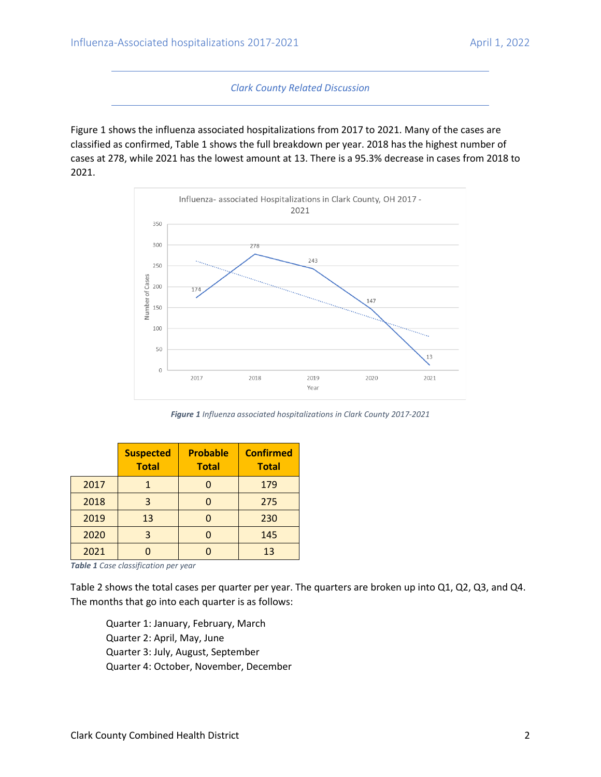*Clark County Related Discussion*

Figure 1 shows the influenza associated hospitalizations from 2017 to 2021. Many of the cases are classified as confirmed, Table 1 shows the full breakdown per year. 2018 has the highest number of cases at 278, while 2021 has the lowest amount at 13. There is a 95.3% decrease in cases from 2018 to 2021.



*Figure 1 Influenza associated hospitalizations in Clark County 2017-2021*

|      | <b>Suspected</b><br><b>Total</b> | <b>Probable</b><br><b>Total</b> | <b>Confirmed</b><br><b>Total</b> |
|------|----------------------------------|---------------------------------|----------------------------------|
| 2017 |                                  |                                 | 179                              |
| 2018 | 3                                |                                 | 275                              |
| 2019 | 13                               |                                 | 230                              |
| 2020 | 3                                |                                 | 145                              |
| 2021 |                                  |                                 | 13                               |

*Table 1 Case classification per year*

Table 2 shows the total cases per quarter per year. The quarters are broken up into Q1, Q2, Q3, and Q4. The months that go into each quarter is as follows:

Quarter 1: January, February, March Quarter 2: April, May, June Quarter 3: July, August, September Quarter 4: October, November, December